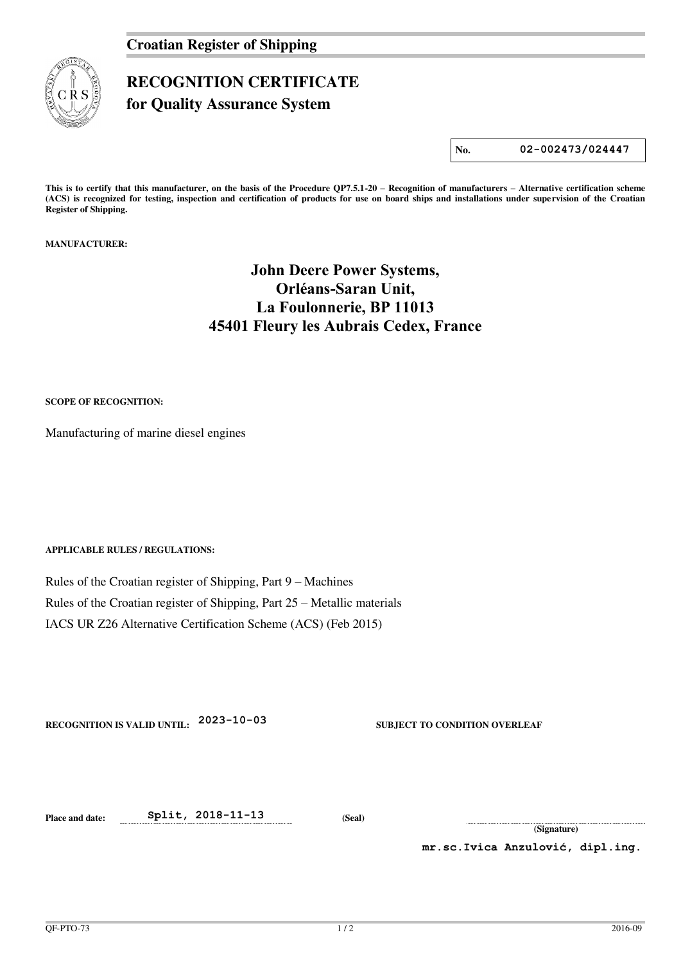

## **RECOGNITION CERTIFICATE**

**for Quality Assurance System** 

**No. 02-002473/024447**

**This is to certify that this manufacturer, on the basis of the Procedure QP7.5.1-20 – Recognition of manufacturers – Alternative certification scheme (ACS) is recognized for testing, inspection and certification of products for use on board ships and installations under supervision of the Croatian Register of Shipping.** 

**MANUFACTURER:** 

## **John Deere Power Systems, Orléans-Saran Unit, La Foulonnerie, BP 11013 45401 Fleury les Aubrais Cedex, France**

**SCOPE OF RECOGNITION:** 

Manufacturing of marine diesel engines

**APPLICABLE RULES / REGULATIONS:** 

Rules of the Croatian register of Shipping, Part 9 – Machines Rules of the Croatian register of Shipping, Part 25 – Metallic materials IACS UR Z26 Alternative Certification Scheme (ACS) (Feb 2015)

**RECOGNITION IS VALID UNTIL: 2023-10-03 SUBJECT TO CONDITION OVERLEAF** 

**Place and date: Split, 2018-11-13 (Seal)** 

**(Signature)** 

**mr.sc.Ivica Anzulović, dipl.ing.**